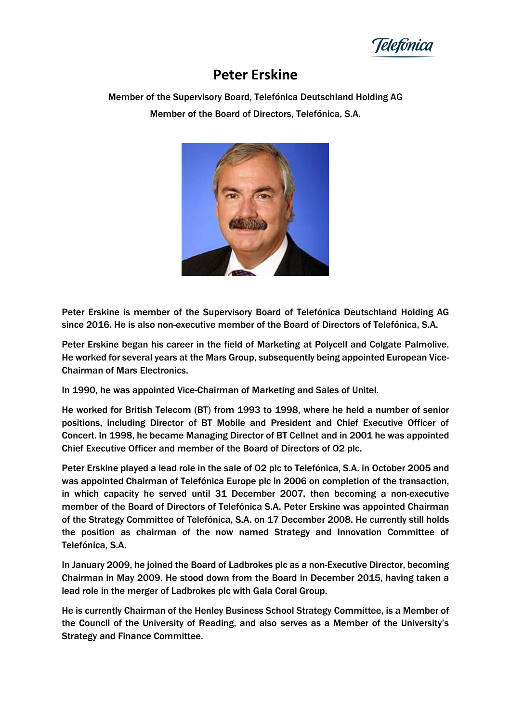Telefónica

## **Peter Erskine**

Member of the Supervisory Board, Telefónica Deutschland Holding AG Member of the Board of Directors, Telefónica, S.A.



Peter Erskine is member of the Supervisory Board of Telefónica Deutschland Holding AG since 2016. He is also non-executive member of the Board of Directors of Telefónica, S.A.

Peter Erskine began his career in the field of Marketing at Polycell and Colgate Palmolive. He worked for several years at the Mars Group, subsequently being appointed European Vice-Chairman of Mars Electronics.

In 1990, he was appointed Vice-Chairman of Marketing and Sales of Unitel.

He worked for British Telecom (BT) from 1993 to 1998, where he held a number of senior positions, including Director of BT Mobile and President and Chief Executive Officer of Concert. In 1998, he became Managing Director of BT Cellnet and in 2001 he was appointed Chief Executive Officer and member of the Board of Directors of O2 plc.

Peter Erskine played a lead role in the sale of O2 plc to Telefónica, S.A. in October 2005 and was appointed Chairman of Telefónica Europe plc in 2006 on completion of the transaction, in which capacity he served until 31 December 2007, then becoming a non-executive member of the Board of Directors of Telefónica S.A. Peter Erskine was appointed Chairman of the Strategy Committee of Telefónica, S.A. on 17 December 2008. He currently still holds the position as chairman of the now named Strategy and Innovation Committee of Telefónica, S.A.

In January 2009, he joined the Board of Ladbrokes plc as a non-Executive Director, becoming Chairman in May 2009. He stood down from the Board in December 2015, having taken a lead role in the merger of Ladbrokes plc with Gala Coral Group.

He is currently Chairman of the Henley Business School Strategy Committee, is a Member of the Council of the University of Reading, and also serves as a Member of the University's Strategy and Finance Committee.